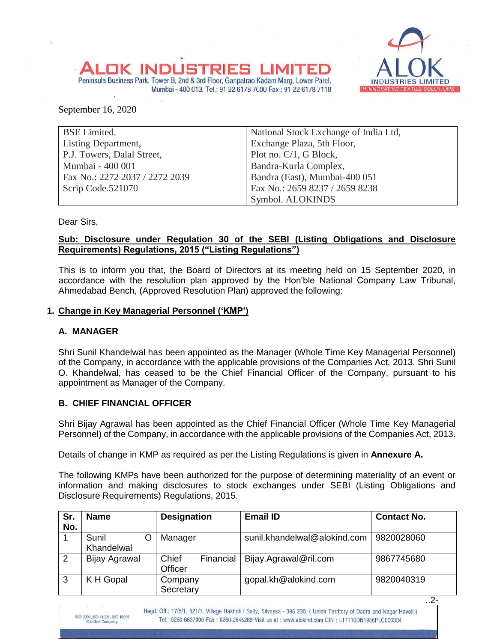#### **INDUS** TRIE Peninsula Business Park, Tower B, 2nd & 3rd Floor, Ganpatrao Kadam Marg, Lower Parel,



September 16, 2020

| <b>BSE Limited.</b>            | National Stock Exchange of India Ltd, |
|--------------------------------|---------------------------------------|
| <b>Listing Department,</b>     | Exchange Plaza, 5th Floor,            |
| P.J. Towers, Dalal Street,     | Plot no. C/1, G Block,                |
| Mumbai - 400 001               | Bandra-Kurla Complex,                 |
| Fax No.: 2272 2037 / 2272 2039 | Bandra (East), Mumbai-400 051         |
| Scrip Code.521070              | Fax No.: 2659 8237 / 2659 8238        |
|                                | Symbol. ALOKINDS                      |

Mumbai - 400 013. Tel.: 91 22 6178 7000 Fax: 91 22 6178 7118

Dear Sirs,

### **Sub: Disclosure under Regulation 30 of the SEBI (Listing Obligations and Disclosure Requirements) Regulations, 2015 ("Listing Regulations")**

This is to inform you that, the Board of Directors at its meeting held on 15 September 2020, in accordance with the resolution plan approved by the Hon'ble National Company Law Tribunal, Ahmedabad Bench, (Approved Resolution Plan) approved the following:

### **1. Change in Key Managerial Personnel ('KMP')**

### **A. MANAGER**

Shri Sunil Khandelwal has been appointed as the Manager (Whole Time Key Managerial Personnel) of the Company, in accordance with the applicable provisions of the Companies Act, 2013. Shri Sunil O. Khandelwal, has ceased to be the Chief Financial Officer of the Company, pursuant to his appointment as Manager of the Company.

### **B. CHIEF FINANCIAL OFFICER**

Shri Bijay Agrawal has been appointed as the Chief Financial Officer (Whole Time Key Managerial Personnel) of the Company, in accordance with the applicable provisions of the Companies Act, 2013.

Details of change in KMP as required as per the Listing Regulations is given in **Annexure A.**

The following KMPs have been authorized for the purpose of determining materiality of an event or information and making disclosures to stock exchanges under SEBI (Listing Obligations and Disclosure Requirements) Regulations, 2015.

| Sr.<br>No. | <b>Name</b>         | <b>Designation</b>            | <b>Email ID</b>              | <b>Contact No.</b> |
|------------|---------------------|-------------------------------|------------------------------|--------------------|
|            | Sunil<br>Khandelwal | Manager                       | sunil.khandelwal@alokind.com | 9820028060         |
| 2          | Bijay Agrawal       | Chief<br>Financial<br>Officer | Bijay.Agrawal@ril.com        | 9867745680         |
| 3          | K H Gopal           | Company<br>Secretary          | gopal.kh@alokind.com         | 9820040319         |

Regd. Off.: 17/5/1, 521/1, Village Rakholi / Saily, Silvassa - 396 230. ( Union Territory of Dadra and Nagar Haveli ) Tel.: 0260-6637000 Fax : 0260-2645289 Visit us at : www.alokind.com CIN : L17110DN1986PLC000334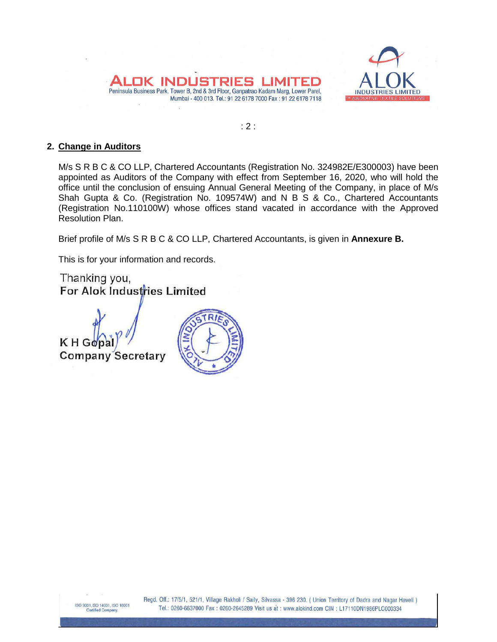



 $: 2:$ 

## **2. Change in Auditors**

M/s S R B C & CO LLP, Chartered Accountants (Registration No. 324982E/E300003) have been appointed as Auditors of the Company with effect from September 16, 2020, who will hold the office until the conclusion of ensuing Annual General Meeting of the Company, in place of M/s Shah Gupta & Co. (Registration No. 109574W) and N B S & Co., Chartered Accountants (Registration No.110100W) whose offices stand vacated in accordance with the Approved Resolution Plan.

Brief profile of M/s S R B C & CO LLP, Chartered Accountants, is given in **Annexure B.**

This is for your information and records.

Thanking you, For Alok Industries Limited

KHGo **Company Secretary** 

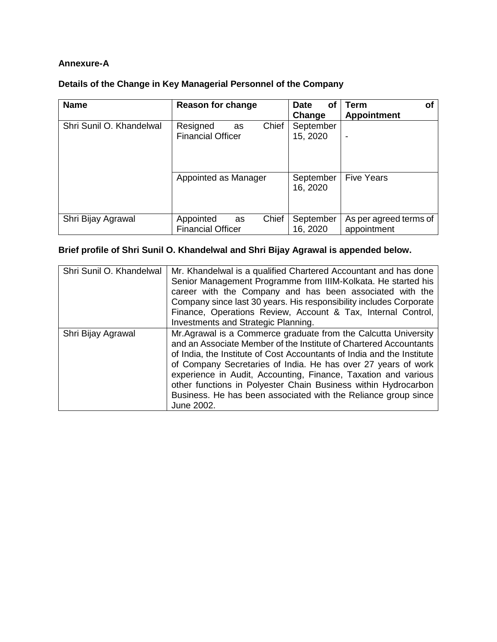# **Annexure-A**

| Details of the Change in Key Managerial Personnel of the Company |  |  |  |
|------------------------------------------------------------------|--|--|--|
|                                                                  |  |  |  |

| <b>Name</b>              | <b>Reason for change</b>                             | Date<br>Οt<br>Change  | Term<br>Οf<br><b>Appointment</b>      |
|--------------------------|------------------------------------------------------|-----------------------|---------------------------------------|
| Shri Sunil O. Khandelwal | Chief<br>Resigned<br>as<br><b>Financial Officer</b>  | September<br>15, 2020 |                                       |
|                          | Appointed as Manager                                 | September<br>16, 2020 | <b>Five Years</b>                     |
| Shri Bijay Agrawal       | Chief<br>Appointed<br>as<br><b>Financial Officer</b> | September<br>16, 2020 | As per agreed terms of<br>appointment |

# **Brief profile of Shri Sunil O. Khandelwal and Shri Bijay Agrawal is appended below.**

| Shri Sunil O. Khandelwal | Mr. Khandelwal is a qualified Chartered Accountant and has done<br>Senior Management Programme from IIIM-Kolkata. He started his<br>career with the Company and has been associated with the<br>Company since last 30 years. His responsibility includes Corporate<br>Finance, Operations Review, Account & Tax, Internal Control,<br>Investments and Strategic Planning.                                                                                                                           |
|--------------------------|-----------------------------------------------------------------------------------------------------------------------------------------------------------------------------------------------------------------------------------------------------------------------------------------------------------------------------------------------------------------------------------------------------------------------------------------------------------------------------------------------------|
| Shri Bijay Agrawal       | Mr. Agrawal is a Commerce graduate from the Calcutta University<br>and an Associate Member of the Institute of Chartered Accountants<br>of India, the Institute of Cost Accountants of India and the Institute<br>of Company Secretaries of India. He has over 27 years of work<br>experience in Audit, Accounting, Finance, Taxation and various<br>other functions in Polyester Chain Business within Hydrocarbon<br>Business. He has been associated with the Reliance group since<br>June 2002. |